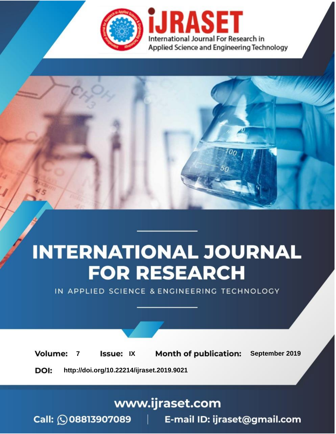

# **INTERNATIONAL JOURNAL FOR RESEARCH**

IN APPLIED SCIENCE & ENGINEERING TECHNOLOGY

**Month of publication: Volume: Issue: IX** September 2019  $\overline{7}$ DOI: http://doi.org/10.22214/ijraset.2019.9021

# www.ijraset.com

 $Call: \bigcirc$ 08813907089 E-mail ID: ijraset@gmail.com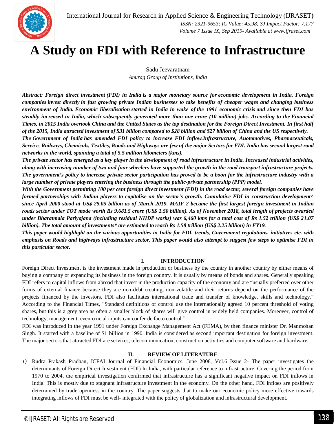

# **A Study on FDI with Reference to Infrastructure**

Sadu Jeevaratnam *Anurag Group of Institutions, India*

*Abstract: Foreign direct investment (FDI) in India is a major monetary source for economic development in India. Foreign companies invest directly in fast growing private Indian businesses to take benefits of cheaper wages and changing business environment of India. Economic liberalisation started in India in wake of the 1991 economic crisis and since then FDI has steadily increased in India, which subsequently generated more than one crore (10 million) jobs. According to the Financial Times, in 2015 India overtook China and the United States as the top destination for the Foreign Direct Investment. In first half of the 2015, India attracted investment of \$31 billion compared to \$28 billion and \$27 billion of China and the US respectively.*

*The Government of India has amended FDI policy to increase FDI inflow.Infrastructure, Auotomotives, Pharmaceuticals, Service, Railways, Chemicals, Textiles, Roads and Highways are few of the major Sectors for FDI. India has second largest road networks in the world, spanning a total of 5.5 million kilometers (kms).*

*The private sector has emerged as a key player in the development of road infrastructure in India. Increased industrial activities, along with increasing number of two and four wheelers have supported the growth in the road transport infrastructure projects. The government's policy to increase private sector participation has proved to be a boon for the infrastructure industry with a large number of private players entering the business through the public-private partnership (PPP) model.*

*With the Government permitting 100 per cent foreign direct investment (FDI) in the road sector, several foreign companies have formed partnerships with Indian players to capitalise on the sector's growth. Cumulative FDI in construction development^ since April 2000 stood at US\$ 25.05 billion as of March 2019. MAIF 2 became the first largest foreign investment in Indian roads sector under TOT mode worth Rs 9,681.5 crore (US\$ 1.50 billion). As of November 2018, total length of projects awarded under Bharatmala Pariyojana (including residual NHDP works) was 6,460 kms for a total cost of Rs 1.52 trillion (US\$ 21.07 billion). The total amount of investments\* are estimated to reach Rs 1.58 trillion (US\$ 2.25 billion) in FY19.*

*This paper would highlight on the various opportunities in India for FDI, trends, Government regulations, initiatives etc. with emphasis on Roads and highways infrastructure sector. This paper would also attempt to suggest few steps to optimise FDI in this particular sector.*

# **I. INTRODUCTION**

Foreign Direct Investment is the investment made in production or business by the country in another country by either means of buying a company or expanding its business in the foreign country. It is usually by means of bonds and shares. Generally speaking FDI refers to capital inflows from abroad that invest in the production capacity of the economy and are "usually preferred over other forms of external finance because they are non-debt creating, non-volatile and their returns depend on the performance of the projects financed by the investors. FDI also facilitates international trade and transfer of knowledge, skills and technology." According to the Financial Times, "Standard definitions of control use the internationally agreed 10 percent threshold of voting shares, but this is a grey area as often a smaller block of shares will give control in widely held companies. Moreover, control of technology, management, even crucial inputs can confer de facto control."

FDI was introduced in the year 1991 under Foreign Exchange Management Act (FEMA), by then finance minister Dr. Manmohan Singh. It started with a baseline of \$1 billion in 1990. India is considered as second important destination for foreign investment. The major sectors that attracted FDI are services, telecommunication, construction activities and computer software and hardware.

# **II. REVIEW OF LITERATURE**

*1)* Rudra Prakash Pradhan, ICFAI Journal of Financial Economics, June 2008, Vol.6 Issue 2- The paper investigates the determinants of Foreign Direct Investment (FDI) In India, with particular reference to infrastructure. Covering the period from 1970 to 2004, the empirical investigation confirmed that infrastructure has a significant negative impact on FDI inflows in India. This is mostly due to stagnant infrastructure investment in the economy. On the other hand, FDI infloes are positively determined by trade openness in the country. The paper suggests that to make our economic policy more effective towards integrating inflows of FDI must be well- integrated with the policy of globalization and infrastructural development.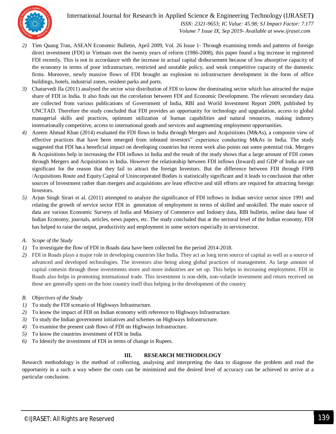

 *ISSN: 2321-9653; IC Value: 45.98; SJ Impact Factor: 7.177 Volume 7 Issue IX, Sep 2019- Available at www.ijraset.com*

- *2)* Tien Quang Tran, ASEAN Economic Bulletin, April 2009, Vol. 26 Issue 1- Through examining trends and patterns of foreign direct investment (FDI) in Vietnam over the twenty years of reform (1986-2008), this paper found a big increase in registered FDI recently. This is not in accordance with the increase in actual capital disbursement because of low absorptive capacity of the economy in terms of poor infrastructure, restricted and unstable policy, and weak competitive capacity of the domestic firms. Moreover, newly massive flows of FDI brought an explosion to infrastructure development in the form of office buildings, hotels, industrial zones, resident parks and ports.
- *3)* Chaturvedi Ila (2011) analysed the sector wise distribution of FDI to know the dominating sector which has attracted the major share of FDI in India. It also finds out the correlation between FDI and Economic Development. The relevant secondary data are collected from various publications of Government of India, RBI and World Investment Report 2009, published by UNCTAD. Therefore the study concluded that FDI provides an opportunity for technology and upgradation, access to global managerial skills and practices, optimum utilization of human capabilities and natural resources, making industry internationally competitive, access to international goods and services and augmenting employment opportunities.
- *4)* Azeem Ahmad Khan (2014) evaluated the FDI flows in India through Mergers and Acquisitions (M&As), a composite view of effective practices that have been emerged from inbound investors" experience conducting M&As in India. The study suggested that FDI has a beneficial impact on developing countries but recent work also points out some potential risk. Mergers & Acquisitions help in increasing the FDI inflows in India and the result of the study shows that a large amount of FDI comes through Mergers and Acquisitions in India. However the relationship between FDI inflows (Inward) and GDP of India are not significant for the reason that they fail to attract the foreign Investors. But the difference between FDI through FIPB /Acquisitions Route and Equity Capital of Unincorporated Bodies is statistically significant and it leads to conclusion that other sources of Investment rather than mergers and acquisitions are least effective and still efforts are required for attracting foreign Investors.
- *5)* Arjun Singh Sirari et al. (2011) attempted to analyze the significance of FDI inflows in Indian service sector since 1991 and relating the growth of service sector FDI in generation of employment in terms of skilled and unskilled. The main source of data are various Economic Surveys of India and Ministry of Commerce and Industry data, RBI bulletin, online data base of Indian Economy, journals, articles, news papers, etc. The study concluded that at the sectoral level of the Indian economy, FDI has helped to raise the output, productivity and employment in some sectors especially in servicesector.
- *A. Scope of the Study*
- *1)* To investigate the flow of FDI in Roads data have been collected for the period 2014-2018.
- *2)* FDI in Roads plays a major role in developing countries like India. They act as long term source of capital as well as a source of advanced and developed technologies. The investors also being along global practices of management. As large amount of capital comesin through these investments more and more industries are set up. This helps in increasing employment. FDI in Roads also helps in promoting international trade. This investment is non-debt, non-volatile investment and return received on these are generally spent on the host country itself thus helping in the development of the country
- *B. Objectives of the Study*
- *1)* To study the FDI scenario of Highways Infrastructure.
- *2)* To know the impact of FDI on Indian economy with reference to Highways Infrastructure.
- *3)* To study the Indian government initiatives and schemes on Highways Infrastructure.
- *4)* To examine the present cash flows of FDI on Highways Infrastructure.
- *5)* To know the countries investment of FDI in India.
- *6)* To Identify the investment of FDI in terms of change in Rupees.

# **III. RESEARCH METHODOLOGY**

Research methodology is the method of collecting, analysing and interpreting the data to diagnose the problem and read the opportunity in a such a way where the costs can be minimized and the desired level of accuracy can be achieved to arrive at a particular conclusion.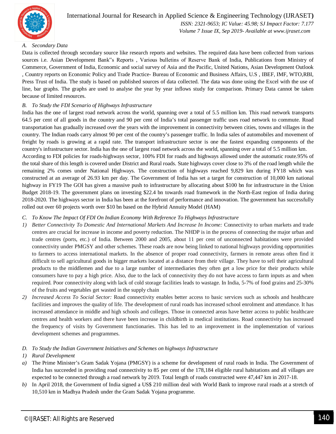

 *ISSN: 2321-9653; IC Value: 45.98; SJ Impact Factor: 7.177 Volume 7 Issue IX, Sep 2019- Available at www.ijraset.com*

# *A. Secondary Data*

Data is collected through secondary source like research reports and websites. The required data have been collected from various sources i.e. Asian Development Bank"s Reports , Various bulletins of Reserve Bank of India, Publications from Ministry of Commerce, Government of India, Economic and social survey of Asia and the Pacific, United Nations, Asian Development Outlook , Country reports on Economic Policy and Trade Practice- Bureau of Economic and Business Affairs, U.S , IBEF, IMF, WTO,RBI, Press Trust of India. The study is based on published sources of data collected. The data was done using the Excel with the use of line, bar graphs. The graphs are used to analyse the year by year inflows study for comparison. Primary Data cannot be taken because of limited resources.

# *B. To Study the FDI Scenario of Highways Infrastructure*

India has the one of largest road network across the world, spanning over a total of 5.5 million km. This road network transports 64.5 per cent of all goods in the country and 90 per cent of India's total passenger traffic uses road network to commute. Road transportation has gradually increased over the years with the improvement in connectivity between cities, towns and villages in the country. The Indian roads carry almost 90 per cent of the country's passenger traffic. In India sales of automobiles and movement of freight by roads is growing at a rapid rate. The transport infrastructure sector is one the fastest expanding components of the country's infrastructure sector. India has the one of largest road network across the world, spanning over a total of 5.5 million km.

According to FDI policies for roads-highways sector, 100% FDI for roads and highways allowed under the automatic route.95% of the total share of this length is covered under District and Rural roads. State highways cover close to 3% of the road length while the remaining 2% comes under National Highways. The construction of highways reached 9,829 km during FY18 which was constructed at an average of 26.93 km per day. The Government of India has set a target for construction of 10,000 km national highway in FY19 The GOI has given a massive push to infrastructure by allocating about \$100 bn for infrastructure in the Union Budget 2018-19. The government plans on investing \$22.4 bn towards road framework in the North-East region of India during 2018-2020. The highways sector in India has been at the forefront of performance and innovation. The government has successfully rolled out over 60 projects worth over \$10 bn based on the Hybrid Annuity Model (HAM)

### *C. To Know The Impact Of FDI On Indian Economy With Reference To Highways Infrastructure*

- *1) Better Connectivity To Domestic And International Markets And Increase In Income:* Connectivity to urban markets and trade centres are crucial for increase in income and poverty reduction. The NHDP is in the process of connecting the major urban and trade centres (ports, etc.) of India. Between 2000 and 2005, about 11 per cent of unconnected habitations were provided connectivity under PMGSY and other schemes. These roads are now being linked to national highways providing opportunities to farmers to access international markets. In the absence of proper road connectivity, farmers in remote areas often find it difficult to sell agricultural goods in bigger markets located at a distance from their village. They have to sell their agricultural products to the middlemen and due to a large number of intermediaries they often get a low price for their products while consumers have to pay a high price. Also, due to the lack of connectivity they do not have access to farm inputs as and when required. Poor connectivity along with lack of cold storage facilities leads to wastage. In India, 5-7% of food grains and 25-30% of the fruits and vegetables get wasted in the supply chain
- *2) Increased Access To Social Sector:* Road connectivity enables better access to basic services such as schools and healthcare facilities and improves the quality of life. The development of rural roads has increased school enrolment and attendance. It has increased attendance in middle and high schools and colleges. Those in connected areas have better access to public healthcare centres and health workers and there have been increase in childbirth in medical institutions. Road connectivity has increased the frequency of visits by Government functionaries. This has led to an improvement in the implementation of various development schemes and programmes.

### *D. To Study the Indian Government Initiatives and Schemes on highways Infrastructure*

# *1) Rural Development*

- *a)* The Prime Minister's Gram Sadak Yojana (PMGSY) is a scheme for development of rural roads in India. The Government of India has succeeded in providing road connectivity to 85 per cent of the 178,184 eligible rural habitations and all villages are expected to be connected through a road network by 2019. Total length of roads constructed were 47,447 km in 2017-18.
- *b)* In April 2018, the Government of India signed a US\$ 210 million deal with World Bank to improve rural roads at a stretch of 10,510 km in Madhya Pradesh under the Gram Sadak Yojana programme.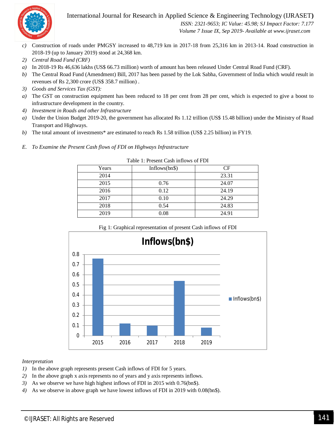

 *ISSN: 2321-9653; IC Value: 45.98; SJ Impact Factor: 7.177 Volume 7 Issue IX, Sep 2019- Available at www.ijraset.com*

- *c)* Construction of roads under PMGSY increased to 48,719 km in 2017-18 from 25,316 km in 2013-14. Road construction in 2018-19 (up to January 2019) stood at 24,368 km.
- *2) Central Road Fund (CRF)*
- *a)* In 2018-19 Rs 46,636 lakhs (US\$ 66.73 million) worth of amount has been released Under Central Road Fund (CRF).
- *b)* The Central Road Fund (Amendment) Bill, 2017 has been passed by the Lok Sabha, Government of India which would result in revenues of Rs 2,300 crore (US\$ 358.7 million) .
- *3) Goods and Services Tax (GST):*
- *a*) The GST on construction equipment has been reduced to 18 per cent from 28 per cent, which is expected to give a boost to infrastructure development in the country.
- *4) Investment in Roads and other Infrastructure*
- *a)* Under the Union Budget 2019-20, the government has allocated Rs 1.12 trillion (US\$ 15.48 billion) under the Ministry of Road Transport and Highways.
- *b*) The total amount of investments\* are estimated to reach Rs 1.58 trillion (US\$ 2.25 billion) in FY19.
- *E. To Examine the Present Cash flows of FDI on Highways Infrastructure*

| Years | Inflows $(bn\$ ) | CF    |
|-------|------------------|-------|
| 2014  |                  | 23.31 |
| 2015  | 0.76             | 24.07 |
| 2016  | 0.12             | 24.19 |
| 2017  | 0.10             | 24.29 |
| 2018  | 0.54             | 24.83 |
| 2019  | 0.08             | 24.91 |

Table 1: Present Cash inflows of FDI



Fig 1: Graphical representation of present Cash inflows of FDI

### *Interpretation*

- *1)* In the above graph represents present Cash inflows of FDI for 5 years.
- *2)* In the above graph x axis represents no of years and y axis represents inflows.
- *3)* As we observe we have high highest inflows of FDI in 2015 with 0.76(bn\$).
- *4)* As we observe in above graph we have lowest inflows of FDI in 2019 with 0.08(bn\$).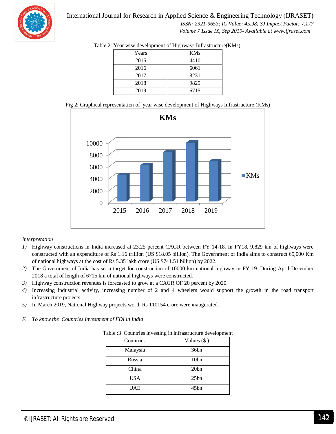

# International Journal for Research in Applied Science & Engineering Technology (IJRASET**)**  *ISSN: 2321-9653; IC Value: 45.98; SJ Impact Factor: 7.177*

 *Volume 7 Issue IX, Sep 2019- Available at www.ijraset.com*

| Years | <b>KMs</b> |
|-------|------------|
| 2015  | 4410       |
| 2016  | 6061       |
| 2017  | 8231       |
| 2018  | 9829       |
| 2019  | 6715       |

|  | Table 2: Year wise development of Highways Infrastructure(KMs): |  |
|--|-----------------------------------------------------------------|--|
|--|-----------------------------------------------------------------|--|





# *Interpretation*

- *1)* Highway constructions in India increased at 23.25 percent CAGR between FY 14-18. In FY18, 9,829 km of highways were constructed with an expenditure of Rs 1.16 trillion (US \$18.05 billion). The Government of India aims to construct 65,000 Km of national highways at the cost of Rs 5.35 lakh crore (US \$741.51 billion) by 2022.
- *2)* The Government of India has set a target for construction of 10000 km national highway in FY 19. During April-December 2018 a total of length of 6715 km of national highways were constructed.
- *3)* Highway construction revenues is forecasted to grow at a CAGR OF 20 percent by 2020.
- *4)* Increasing industrial activity, increasing number of 2 and 4 wheelers would support the growth in the road transport infrastructure projects.
- *5)* In March 2019, National Highway projects worth Rs 110154 crore were inaugurated.
- *F. To know the Countries Investment of FDI in India*

| $\mu$ ore $\sigma$ countries in vesting in infrastructure development |                  |  |
|-----------------------------------------------------------------------|------------------|--|
| Countries                                                             | Values $(\$)$    |  |
| Malaysia                                                              | 36bn             |  |
| Russia                                                                | 10 <sub>bn</sub> |  |
| China                                                                 | 20bn             |  |
| <b>USA</b>                                                            | 25bn             |  |
| <b>UAE</b>                                                            | 45bn             |  |

Table :3 Countries investing in infrastructure development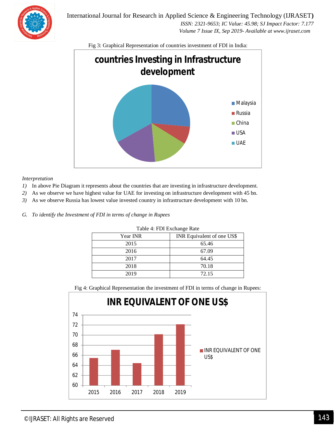

International Journal for Research in Applied Science & Engineering Technology (IJRASET**)**  *ISSN: 2321-9653; IC Value: 45.98; SJ Impact Factor: 7.177 Volume 7 Issue IX, Sep 2019- Available at www.ijraset.com*

Fig 3: Graphical Representation of countries investment of FDI in India:



### *Interpretation*

- *1*) In above Pie Diagram it represents about the countries that are investing in infrastructure development.
- *2)* As we observe we have highest value for UAE for investing on infrastructure development with 45 bn.
- *3)* As we observe Russia has lowest value invested country in infrastructure development with 10 bn.
- *G. To identify the Investment of FDI in terms of change in Rupees*

| Table +. I DI LACHANGE Rate |                            |  |
|-----------------------------|----------------------------|--|
| Year INR                    | INR Equivalent of one US\$ |  |
| 2015                        | 65.46                      |  |
| 2016                        | 67.09                      |  |
| 2017                        | 64.45                      |  |
| 2018                        | 70.18                      |  |
| 2019                        | 72.15                      |  |

Table 4: FDI Exchange Rate

Fig 4: Graphical Representation the investment of FDI in terms of change in Rupees:

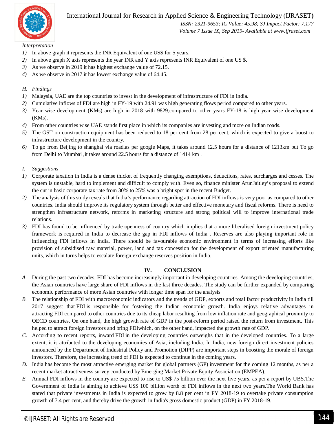

 *ISSN: 2321-9653; IC Value: 45.98; SJ Impact Factor: 7.177 Volume 7 Issue IX, Sep 2019- Available at www.ijraset.com*

*Interpretation*

- *1)* In above graph it represents the INR Equivalent of one US\$ for 5 years.
- *2)* In above graph X axis represents the year INR and Y axis represents INR Equivalent of one US \$.
- *3)* As we observe in 2019 it has highest exchange value of 72.15.
- *4)* As we observe in 2017 it has lowest exchange value of 64.45.

# *H. Findings*

- *1)* Malaysia, UAE are the top countries to invest in the development of infrastructure of FDI in India.
- *2)* Cumulative inflows of FDI are high in FY-19 with 24.91 was high generating flows period compared to other years.
- *3)* Year wise development (KMs) are high in 2018 with 9829,compared to other years FY-18 is high year wise development (KMs).
- *4)* From other countries wise UAE stands first place in which its companies are investing and more on Indian roads.
- *5)* The GST on construction equipment has been reduced to 18 per cent from 28 per cent, which is expected to give a boost to infrastructure development in the country.
- *6)* To go from Beijing to shanghai via road,as per google Maps, it takes around 12.5 hours for a distance of 1213km but To go from Delhi to Mumbai ,it takes around 22.5 hours for a distance of 1414 km .
- *I. Suggestions*
- *1)* Corporate taxation in India is a dense thicket of frequently changing exemptions, deductions, rates, surcharges and cesses. The system is unstable, hard to implement and difficult to comply with. Even so, finance minister ArunJaitley's proposal to extend the cut in basic corporate tax rate from 30% to 25% was a bright spot in the recent Budget.
- *2)* The analysis of this study reveals that India's performance regarding attraction of FDI inflows is very poor as compared to other countries. India should improve its regulatory system through better and effective monetary and fiscal reforms. There is need to strengthen infrastructure network, reforms in marketing structure and strong political will to improve international trade relations.
- *3)* FDI has found to be influenced by trade openness of country which implies that a more liberalised foreign investment policy framework is required in India to decrease the gap in FDI inflows of India . Reserves are also playing important role in influencing FDI inflows in India. There should be favourable economic environment in terms of increasing efforts like provision of subsidised raw material, power, land and tax concession for the development of export oriented manufacturing units, which in turns helps to escalate foreign exchange reserves position in India.

### **IV. CONCLUSION**

- *A.* During the past two decades, FDI has become increasingly important in developing countries. Among the developing countries, the Asian countries have large share of FDI inflows in the last three decades. The study can be further expanded by comparing economic performance of more Asian countries with longer time span for the analysis
- *B.* The relationship of FDI with macroeconomic indicators and the trends of GDP, exports and total factor productivity in India till 2017 suggest that FDI is responsible for fostering the Indian economic growth. India enjoys relative advantages in attracting FDI compared to other countries due to its cheap labor resulting from low inflation rate and geographical proximity to OECD countries. On one hand, the high growth rate of GDP in the post-reform period raised the return from investment. This helped to attract foreign investors and bring FDIwhich, on the other hand, impacted the growth rate of GDP.
- *C.* According to recent reports, inward FDI in the developing countries outweighs that in the developed countries. To a large extent, it is attributed to the developing economies of Asia, including India. In India, new foreign direct investment policies announced by the Department of Industrial Policy and Promotion (DIPP) are important steps in boosting the morale of foreign investors. Therefore, the increasing trend of FDI is expected to continue in the coming years.
- *D.* India has become the most attractive emerging market for global partners (GP) investment for the coming 12 months, as per a recent market attractiveness survey conducted by Emerging Market Private Equity Association (EMPEA).
- *E.* Annual FDI inflows in the country are expected to rise to US\$ 75 billion over the next five years, as per a report by UBS.The Government of India is aiming to achieve US\$ 100 billion worth of FDI inflows in the next two years.The World Bank has stated that private investments in India is expected to grow by 8.8 per cent in FY 2018-19 to overtake private consumption growth of 7.4 per cent, and thereby drive the growth in India's gross domestic product (GDP) in FY 2018-19.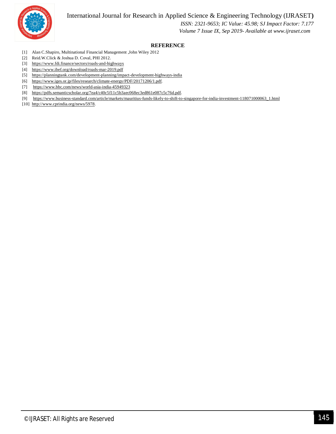

# *ISSN: 2321-9653; IC Value: 45.98; SJ Impact Factor: 7.177 Volume 7 Issue IX, Sep 2019- Available at www.ijraset.com*

# **REFERENCE**

- [1] Alan C.Shapiro, Multinational Financial Management ,John Wiley 2012
- [2] Reid.W.Click & Joshua D. Coval, PHI 2012.
- [3] https://www.fdi.finance/sectors/roads-and-highways
- [4] https://www.ibef.org/download/roads-mar-2019.pdf
- [5] https://planningtank.com/development-planning/impact-development-highways-india
- [6] https://www.iges.or.jp/files/research/climate-energy/PDF/20171206/1.pdf.
- [7] https://www.bbc.com/news/world-asia-india-45949323
- [8] https://pdfs.semanticscholar.org/7ea4/c40c5f11c5b3aec068ec3ed861e087c5c76d.pdf.
- [9] https://www.business-standard.com/article/markets/mauritius-funds-likely-to-shift-to-singapore-for-india-investment-118071000063\_1.html
- [10] http://www.cprindia.org/news/5978.